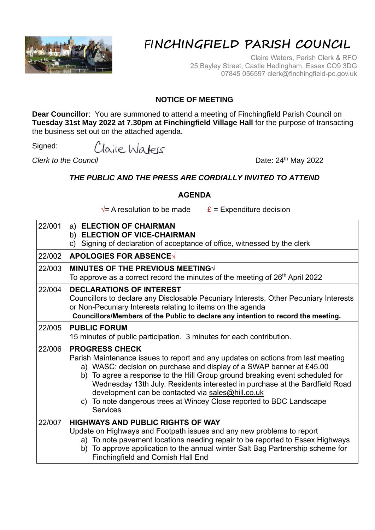

## FI**NCHINGFIELD PARISH COUNCIL**

Claire Waters, Parish Clerk & RFO 25 Bayley Street, Castle Hedingham, Essex CO9 3DG 07845 056597 clerk@finchingfield-pc.gov.uk

## **NOTICE OF MEETING**

**Dear Councillor**: You are summoned to attend a meeting of Finchingfield Parish Council on **Tuesday 31st May 2022 at 7.30pm at Finchingfield Village Hall** for the purpose of transacting the business set out on the attached agenda.

Claire Waters Signed:

**Clerk to the Council** Date: 24<sup>th</sup> May 2022

## *THE PUBLIC AND THE PRESS ARE CORDIALLY INVITED TO ATTEND*

## **AGENDA**

 $\sqrt{\ }$  A resolution to be made  $\frac{\mathbf{E}}{\mathbf{E}}$  = Expenditure decision

| 22/001 | a) ELECTION OF CHAIRMAN<br>b) ELECTION OF VICE-CHAIRMAN<br>Signing of declaration of acceptance of office, witnessed by the clerk<br>C)                                                                                                                                                                                                                                                                                                                                                          |  |  |  |
|--------|--------------------------------------------------------------------------------------------------------------------------------------------------------------------------------------------------------------------------------------------------------------------------------------------------------------------------------------------------------------------------------------------------------------------------------------------------------------------------------------------------|--|--|--|
| 22/002 | <b>APOLOGIES FOR ABSENCE√</b>                                                                                                                                                                                                                                                                                                                                                                                                                                                                    |  |  |  |
| 22/003 | MINUTES OF THE PREVIOUS MEETING<br>To approve as a correct record the minutes of the meeting of 26 <sup>th</sup> April 2022                                                                                                                                                                                                                                                                                                                                                                      |  |  |  |
| 22/004 | <b>DECLARATIONS OF INTEREST</b><br>Councillors to declare any Disclosable Pecuniary Interests, Other Pecuniary Interests<br>or Non-Pecuniary Interests relating to items on the agenda<br>Councillors/Members of the Public to declare any intention to record the meeting.                                                                                                                                                                                                                      |  |  |  |
| 22/005 | <b>PUBLIC FORUM</b><br>15 minutes of public participation. 3 minutes for each contribution.                                                                                                                                                                                                                                                                                                                                                                                                      |  |  |  |
| 22/006 | <b>PROGRESS CHECK</b><br>Parish Maintenance issues to report and any updates on actions from last meeting<br>a) WASC: decision on purchase and display of a SWAP banner at £45.00<br>b) To agree a response to the Hill Group ground breaking event scheduled for<br>Wednesday 13th July. Residents interested in purchase at the Bardfield Road<br>development can be contacted via sales@hill.co.uk<br>c) To note dangerous trees at Wincey Close reported to BDC Landscape<br><b>Services</b> |  |  |  |
| 22/007 | <b>HIGHWAYS AND PUBLIC RIGHTS OF WAY</b><br>Update on Highways and Footpath issues and any new problems to report<br>a) To note pavement locations needing repair to be reported to Essex Highways<br>To approve application to the annual winter Salt Bag Partnership scheme for<br>b)<br><b>Finchingfield and Cornish Hall End</b>                                                                                                                                                             |  |  |  |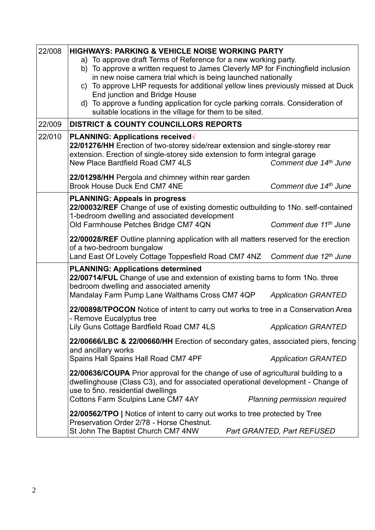| 22/008 | <b>HIGHWAYS: PARKING &amp; VEHICLE NOISE WORKING PARTY</b>                                                                                                                                                                                                                                                                                                                                                                                                                             |  |  |  |  |
|--------|----------------------------------------------------------------------------------------------------------------------------------------------------------------------------------------------------------------------------------------------------------------------------------------------------------------------------------------------------------------------------------------------------------------------------------------------------------------------------------------|--|--|--|--|
|        | a) To approve draft Terms of Reference for a new working party.<br>b) To approve a written request to James Cleverly MP for Finchingfield inclusion<br>in new noise camera trial which is being launched nationally<br>c) To approve LHP requests for additional yellow lines previously missed at Duck<br>End junction and Bridge House<br>d) To approve a funding application for cycle parking corrals. Consideration of<br>suitable locations in the village for them to be sited. |  |  |  |  |
| 22/009 | <b>DISTRICT &amp; COUNTY COUNCILLORS REPORTS</b>                                                                                                                                                                                                                                                                                                                                                                                                                                       |  |  |  |  |
| 22/010 | PLANNING: Applications received√<br>22/01276/HH Erection of two-storey side/rear extension and single-storey rear<br>extension. Erection of single-storey side extension to form integral garage<br>New Place Bardfield Road CM7 4LS<br>Comment due 14th June<br>22/01298/HH Pergola and chimney within rear garden                                                                                                                                                                    |  |  |  |  |
|        | <b>Brook House Duck End CM7 4NE</b><br>Comment due 14th June                                                                                                                                                                                                                                                                                                                                                                                                                           |  |  |  |  |
|        | <b>PLANNING: Appeals in progress</b><br>22/00032/REF Change of use of existing domestic outbuilding to 1No. self-contained<br>1-bedroom dwelling and associated development<br>Old Farmhouse Petches Bridge CM7 4QN<br>Comment due 11th June                                                                                                                                                                                                                                           |  |  |  |  |
|        | 22/00028/REF Outline planning application with all matters reserved for the erection<br>of a two-bedroom bungalow<br>Comment due 12th June<br>Land East Of Lovely Cottage Toppesfield Road CM7 4NZ                                                                                                                                                                                                                                                                                     |  |  |  |  |
|        | <b>PLANNING: Applications determined</b><br>22/00714/FUL Change of use and extension of existing barns to form 1No. three<br>bedroom dwelling and associated amenity<br>Mandalay Farm Pump Lane Walthams Cross CM7 4QP<br><b>Application GRANTED</b>                                                                                                                                                                                                                                   |  |  |  |  |
|        | 22/00898/TPOCON Notice of intent to carry out works to tree in a Conservation Area<br>- Remove Eucalyptus tree<br>Lily Guns Cottage Bardfield Road CM7 4LS<br><b>Application GRANTED</b>                                                                                                                                                                                                                                                                                               |  |  |  |  |
|        | 22/00666/LBC & 22/00660/HH Erection of secondary gates, associated piers, fencing<br>and ancillary works<br>Spains Hall Spains Hall Road CM7 4PF<br><b>Application GRANTED</b>                                                                                                                                                                                                                                                                                                         |  |  |  |  |
|        | 22/00636/COUPA Prior approval for the change of use of agricultural building to a<br>dwellinghouse (Class C3), and for associated operational development - Change of<br>use to 5no. residential dwellings<br><b>Cottons Farm Sculpins Lane CM7 4AY</b><br>Planning permission required                                                                                                                                                                                                |  |  |  |  |
|        | 22/00562/TPO   Notice of intent to carry out works to tree protected by Tree<br>Preservation Order 2/78 - Horse Chestnut.<br>St John The Baptist Church CM7 4NW<br>Part GRANTED, Part REFUSED                                                                                                                                                                                                                                                                                          |  |  |  |  |